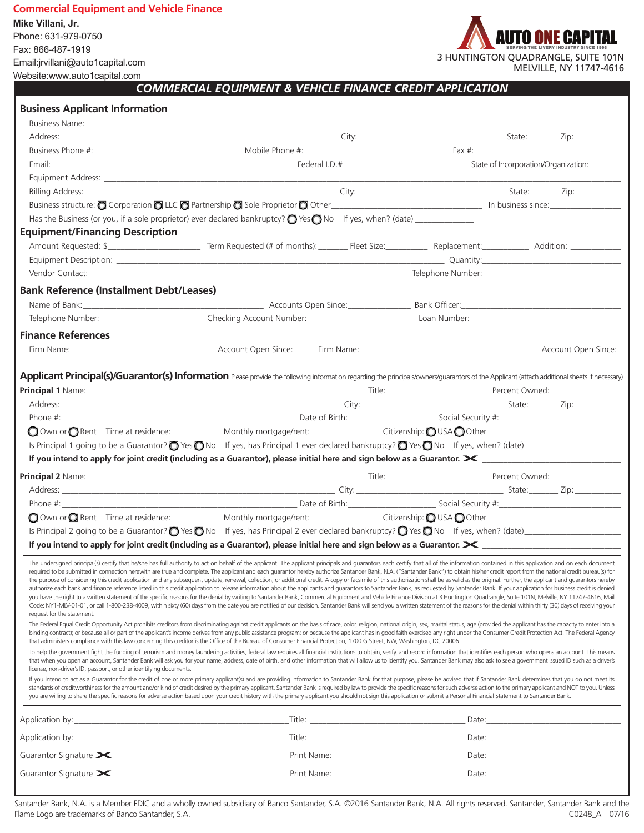### **Commercial Equipment and Vehicle Finance**

**Mike Villani, Jr.** Phone: 631-979-0750 Fax: 866-487-1919 Email:jrvillani@auto1capital.com Website:www.auto1capital.com



MELVILLE, NY 11747-4616

*COMMERCIAL EQUIPMENT & VEHICLE FINANCE CREDIT APPLICATION*

## **Business Applicant Information**

|                                                                     | Business structure: C Corporation C LLC C Partnership C Sole Proprietor C Other C Commerce C Communication C LLC C Partnership C Sole Proprietor C Other C Communication C LLC C Partnership C Sole Proprietor C Other C Commu                                                                                                                                                                                                                                                                                                                                                                                                                                                                                                                                                                                                                                                                                                                                                                                                                                                                                                                                                                                                                                                                                                                                                                          |  |                     |
|---------------------------------------------------------------------|---------------------------------------------------------------------------------------------------------------------------------------------------------------------------------------------------------------------------------------------------------------------------------------------------------------------------------------------------------------------------------------------------------------------------------------------------------------------------------------------------------------------------------------------------------------------------------------------------------------------------------------------------------------------------------------------------------------------------------------------------------------------------------------------------------------------------------------------------------------------------------------------------------------------------------------------------------------------------------------------------------------------------------------------------------------------------------------------------------------------------------------------------------------------------------------------------------------------------------------------------------------------------------------------------------------------------------------------------------------------------------------------------------|--|---------------------|
|                                                                     |                                                                                                                                                                                                                                                                                                                                                                                                                                                                                                                                                                                                                                                                                                                                                                                                                                                                                                                                                                                                                                                                                                                                                                                                                                                                                                                                                                                                         |  |                     |
| <b>Equipment/Financing Description</b>                              |                                                                                                                                                                                                                                                                                                                                                                                                                                                                                                                                                                                                                                                                                                                                                                                                                                                                                                                                                                                                                                                                                                                                                                                                                                                                                                                                                                                                         |  |                     |
|                                                                     | Amount Requested: \$                                                                                                                                                                                                                                                                                                                                                                                                                                                                                                                                                                                                                                                                                                                                                                                                                                                                                                                                                                                                                                                                                                                                                                                                                                                                                                                                                                                    |  |                     |
|                                                                     |                                                                                                                                                                                                                                                                                                                                                                                                                                                                                                                                                                                                                                                                                                                                                                                                                                                                                                                                                                                                                                                                                                                                                                                                                                                                                                                                                                                                         |  |                     |
|                                                                     |                                                                                                                                                                                                                                                                                                                                                                                                                                                                                                                                                                                                                                                                                                                                                                                                                                                                                                                                                                                                                                                                                                                                                                                                                                                                                                                                                                                                         |  |                     |
| <b>Bank Reference (Installment Debt/Leases)</b>                     |                                                                                                                                                                                                                                                                                                                                                                                                                                                                                                                                                                                                                                                                                                                                                                                                                                                                                                                                                                                                                                                                                                                                                                                                                                                                                                                                                                                                         |  |                     |
|                                                                     |                                                                                                                                                                                                                                                                                                                                                                                                                                                                                                                                                                                                                                                                                                                                                                                                                                                                                                                                                                                                                                                                                                                                                                                                                                                                                                                                                                                                         |  |                     |
|                                                                     | Telephone Number: Checking Account Number: Checking Account Number: Checking Account Number: Checking Account Number: Checking Account Number: Checking Account Number: Checking Account Number: Checking Account Number: Chec                                                                                                                                                                                                                                                                                                                                                                                                                                                                                                                                                                                                                                                                                                                                                                                                                                                                                                                                                                                                                                                                                                                                                                          |  |                     |
| <b>Finance References</b>                                           |                                                                                                                                                                                                                                                                                                                                                                                                                                                                                                                                                                                                                                                                                                                                                                                                                                                                                                                                                                                                                                                                                                                                                                                                                                                                                                                                                                                                         |  |                     |
| Firm Name:                                                          | Account Open Since:<br>Firm Name:                                                                                                                                                                                                                                                                                                                                                                                                                                                                                                                                                                                                                                                                                                                                                                                                                                                                                                                                                                                                                                                                                                                                                                                                                                                                                                                                                                       |  | Account Open Since: |
|                                                                     | Applicant Principal(s)/Guarantor(s) Information Please provide the following information regarding the principals/owners/guarantors of the Applicant (attach additional sheets if necessary).                                                                                                                                                                                                                                                                                                                                                                                                                                                                                                                                                                                                                                                                                                                                                                                                                                                                                                                                                                                                                                                                                                                                                                                                           |  |                     |
|                                                                     | Principal 1 Name: <u>Communication and Communication and Communication</u> and Title: Communication and Percent Owned: Communication and Percent Owned:                                                                                                                                                                                                                                                                                                                                                                                                                                                                                                                                                                                                                                                                                                                                                                                                                                                                                                                                                                                                                                                                                                                                                                                                                                                 |  |                     |
|                                                                     |                                                                                                                                                                                                                                                                                                                                                                                                                                                                                                                                                                                                                                                                                                                                                                                                                                                                                                                                                                                                                                                                                                                                                                                                                                                                                                                                                                                                         |  |                     |
|                                                                     |                                                                                                                                                                                                                                                                                                                                                                                                                                                                                                                                                                                                                                                                                                                                                                                                                                                                                                                                                                                                                                                                                                                                                                                                                                                                                                                                                                                                         |  |                     |
|                                                                     |                                                                                                                                                                                                                                                                                                                                                                                                                                                                                                                                                                                                                                                                                                                                                                                                                                                                                                                                                                                                                                                                                                                                                                                                                                                                                                                                                                                                         |  |                     |
|                                                                     |                                                                                                                                                                                                                                                                                                                                                                                                                                                                                                                                                                                                                                                                                                                                                                                                                                                                                                                                                                                                                                                                                                                                                                                                                                                                                                                                                                                                         |  |                     |
|                                                                     |                                                                                                                                                                                                                                                                                                                                                                                                                                                                                                                                                                                                                                                                                                                                                                                                                                                                                                                                                                                                                                                                                                                                                                                                                                                                                                                                                                                                         |  |                     |
|                                                                     |                                                                                                                                                                                                                                                                                                                                                                                                                                                                                                                                                                                                                                                                                                                                                                                                                                                                                                                                                                                                                                                                                                                                                                                                                                                                                                                                                                                                         |  |                     |
|                                                                     |                                                                                                                                                                                                                                                                                                                                                                                                                                                                                                                                                                                                                                                                                                                                                                                                                                                                                                                                                                                                                                                                                                                                                                                                                                                                                                                                                                                                         |  |                     |
|                                                                     |                                                                                                                                                                                                                                                                                                                                                                                                                                                                                                                                                                                                                                                                                                                                                                                                                                                                                                                                                                                                                                                                                                                                                                                                                                                                                                                                                                                                         |  |                     |
|                                                                     |                                                                                                                                                                                                                                                                                                                                                                                                                                                                                                                                                                                                                                                                                                                                                                                                                                                                                                                                                                                                                                                                                                                                                                                                                                                                                                                                                                                                         |  |                     |
|                                                                     | Is Principal 2 going to be a Guarantor? $\bigcirc$ Yes $\bigcirc$ No If yes, has Principal 2 ever declared bankruptcy? $\bigcirc$ Yes $\bigcirc$ No If yes, when? (date)                                                                                                                                                                                                                                                                                                                                                                                                                                                                                                                                                                                                                                                                                                                                                                                                                                                                                                                                                                                                                                                                                                                                                                                                                                |  |                     |
|                                                                     |                                                                                                                                                                                                                                                                                                                                                                                                                                                                                                                                                                                                                                                                                                                                                                                                                                                                                                                                                                                                                                                                                                                                                                                                                                                                                                                                                                                                         |  |                     |
| request for the statement.                                          | The undersigned principal(s) certify that he/she has full authority to act on behalf of the applicant. The applicant principals and quarantors each certify that all of the information contained in this application and on e<br>required to be submitted in connection herewith are true and complete. The applicant and each quarantor hereby authorize Santander Bank, N.A. ("Santander Bank") to obtain his/her credit report from the national credit bure<br>the purpose of considering this credit application and any subsequent update, renewal, collection, or additional credit. A copy or facsimile of this authorization shall be as valid as the original. Further, the applicant a<br>authorize each bank and finance reference listed in this credit application to release information about the applicants and quarantors to Santander Bank, as requested by Santander Bank. If your application for business cre<br>you have the right to a written statement of the specific reasons for the denial by writing to Santander Bank, Commercial Equipment and Vehicle Finance Division at 3 Huntington Quadrangle, Suite 101N, Melville, NY 11747-46<br>Code: NY1-MLV-01-01, or call 1-800-238-4009, within sixty (60) days from the date you are notified of our decision. Santander Bank will send you a written statement of the reasons for the denial within thirty (30) days of |  |                     |
|                                                                     | The Federal Equal Credit Opportunity Act prohibits creditors from discriminating against credit applicants on the basis of race, color, religion, national origin, sex, marital status, age (provided the applicant has the ca<br>binding contract); or because all or part of the applicant's income derives from any public assistance program; or because the applicant has in good faith exercised any right under the Consumer Credit Protection Act. The F<br>that administers compliance with this law concerning this creditor is the Office of the Bureau of Consumer Financial Protection, 1700 G Street, NW, Washington, DC 20006.                                                                                                                                                                                                                                                                                                                                                                                                                                                                                                                                                                                                                                                                                                                                                           |  |                     |
| license, non-driver's ID, passport, or other identifying documents. | To help the government fight the funding of terrorism and money laundering activities, federal law requires all financial institutions to obtain, verify, and record information that identifies each person who opens an acco<br>that when you open an account, Santander Bank will ask you for your name, address, date of birth, and other information that will allow us to identify you. Santander Bank may also ask to see a government issued ID such as                                                                                                                                                                                                                                                                                                                                                                                                                                                                                                                                                                                                                                                                                                                                                                                                                                                                                                                                         |  |                     |
|                                                                     | If you intend to act as a Guarantor for the credit of one or more primary applicant(s) and are providing information to Santander Bank for that purpose, please be advised that if Santander Bank determines that you do not m<br>standards of creditworthiness for the amount and/or kind of credit desired by the primary applicant, Santander Bank is required by law to provide the specific reasons for such adverse action to the primary applicant and NO<br>you are willing to share the specific reasons for adverse action based upon your credit history with the primary applicant you should not sign this application or submit a Personal Financial Statement to Santander Bank.                                                                                                                                                                                                                                                                                                                                                                                                                                                                                                                                                                                                                                                                                                         |  |                     |
|                                                                     |                                                                                                                                                                                                                                                                                                                                                                                                                                                                                                                                                                                                                                                                                                                                                                                                                                                                                                                                                                                                                                                                                                                                                                                                                                                                                                                                                                                                         |  |                     |
|                                                                     |                                                                                                                                                                                                                                                                                                                                                                                                                                                                                                                                                                                                                                                                                                                                                                                                                                                                                                                                                                                                                                                                                                                                                                                                                                                                                                                                                                                                         |  |                     |
|                                                                     |                                                                                                                                                                                                                                                                                                                                                                                                                                                                                                                                                                                                                                                                                                                                                                                                                                                                                                                                                                                                                                                                                                                                                                                                                                                                                                                                                                                                         |  |                     |
|                                                                     |                                                                                                                                                                                                                                                                                                                                                                                                                                                                                                                                                                                                                                                                                                                                                                                                                                                                                                                                                                                                                                                                                                                                                                                                                                                                                                                                                                                                         |  |                     |

Santander Bank, N.A. is a Member FDIC and a wholly owned subsidiary of Banco Santander, S.A. @2016 Santander Bank, N.A. All rights reserved. Santander, Santander Bank and the Flame Logo are trademarks of Banco Santander, S.A. C0248\_A 07/16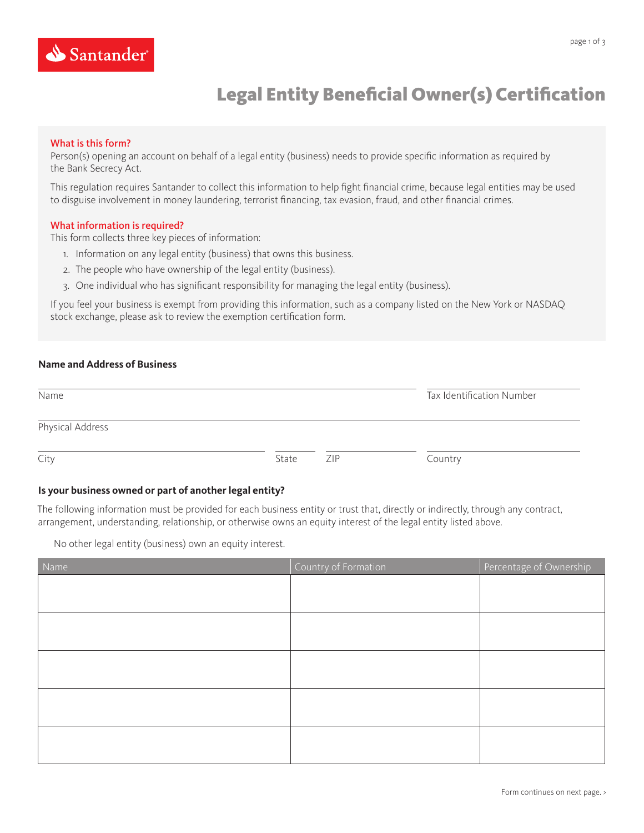

# Legal Entity Beneficial Owner(s) Certification

### What is this form?

Person(s) opening an account on behalf of a legal entity (business) needs to provide specific information as required by the Bank Secrecy Act.

This regulation requires Santander to collect this information to help fight financial crime, because legal entities may be used to disguise involvement in money laundering, terrorist financing, tax evasion, fraud, and other financial crimes.

### What information is required?

This form collects three key pieces of information:

- 1. Information on any legal entity (business) that owns this business.
- 2. The people who have ownership of the legal entity (business).
- 3. One individual who has significant responsibility for managing the legal entity (business).

If you feel your business is exempt from providing this information, such as a company listed on the New York or NASDAQ stock exchange, please ask to review the exemption certification form.

### **Name and Address of Business**

| Name             |       |     | Tax Identification Number |  |
|------------------|-------|-----|---------------------------|--|
| Physical Address |       |     |                           |  |
| City             | State | ZIP | Country                   |  |

### **Is your business owned or part of another legal entity?**

The following information must be provided for each business entity or trust that, directly or indirectly, through any contract, arrangement, understanding, relationship, or otherwise owns an equity interest of the legal entity listed above.

No other legal entity (business) own an equity interest.

| Name | Country of Formation | Percentage of Ownership |
|------|----------------------|-------------------------|
|      |                      |                         |
|      |                      |                         |
|      |                      |                         |
|      |                      |                         |
|      |                      |                         |
|      |                      |                         |
|      |                      |                         |
|      |                      |                         |
|      |                      |                         |
|      |                      |                         |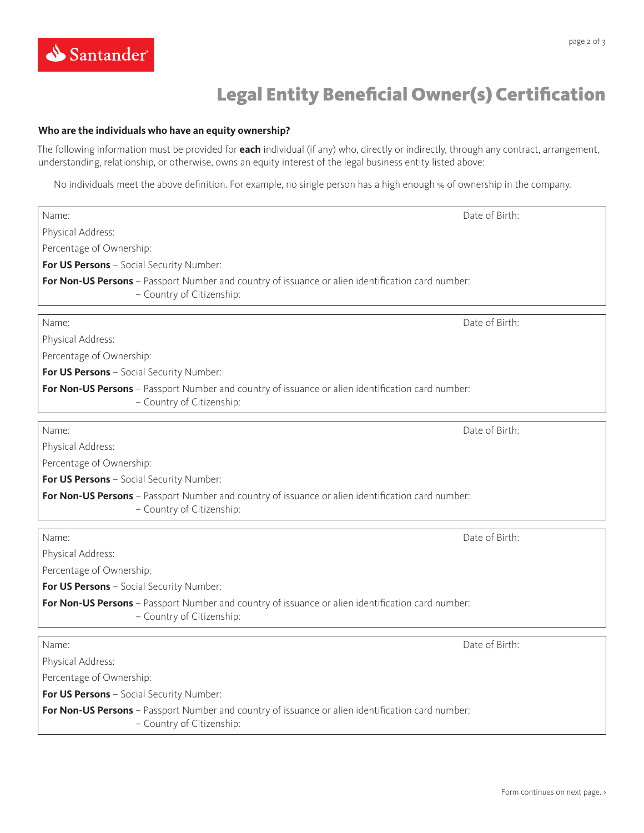# Legal Entity Beneficial Owner(s) Certification

### **Who are the individuals who have an equity ownership?**

The following information must be provided for **each** individual (if any) who, directly or indirectly, through any contract, arrangement, understanding, relationship, or otherwise, owns an equity interest of the legal business entity listed above:

No individuals meet the above definition. For example, no single person has a high enough % of ownership in the company.

| Name:                                                                                                                          | Date of Birth: |  |  |  |
|--------------------------------------------------------------------------------------------------------------------------------|----------------|--|--|--|
| Physical Address:                                                                                                              |                |  |  |  |
| Percentage of Ownership:                                                                                                       |                |  |  |  |
| For US Persons - Social Security Number:                                                                                       |                |  |  |  |
| For Non-US Persons - Passport Number and country of issuance or alien identification card number:<br>- Country of Citizenship: |                |  |  |  |
| Name:                                                                                                                          | Date of Birth: |  |  |  |
| Physical Address:                                                                                                              |                |  |  |  |
| Percentage of Ownership:                                                                                                       |                |  |  |  |
| For US Persons - Social Security Number:                                                                                       |                |  |  |  |
| For Non-US Persons - Passport Number and country of issuance or alien identification card number:<br>- Country of Citizenship: |                |  |  |  |
| Name:                                                                                                                          | Date of Birth: |  |  |  |
| Physical Address:                                                                                                              |                |  |  |  |
| Percentage of Ownership:                                                                                                       |                |  |  |  |
| For US Persons - Social Security Number:                                                                                       |                |  |  |  |
| For Non-US Persons - Passport Number and country of issuance or alien identification card number:<br>- Country of Citizenship: |                |  |  |  |
| Name:                                                                                                                          | Date of Birth: |  |  |  |
| Physical Address:                                                                                                              |                |  |  |  |
| Percentage of Ownership:                                                                                                       |                |  |  |  |
| For US Persons - Social Security Number:                                                                                       |                |  |  |  |
| For Non-US Persons - Passport Number and country of issuance or alien identification card number:<br>- Country of Citizenship: |                |  |  |  |
| Name:                                                                                                                          | Date of Birth: |  |  |  |
| Physical Address:                                                                                                              |                |  |  |  |
| Percentage of Ownership:                                                                                                       |                |  |  |  |
| For US Persons - Social Security Number:                                                                                       |                |  |  |  |
| For Non-US Persons - Passport Number and country of issuance or alien identification card number:<br>- Country of Citizenship: |                |  |  |  |

Form continues on next page. >